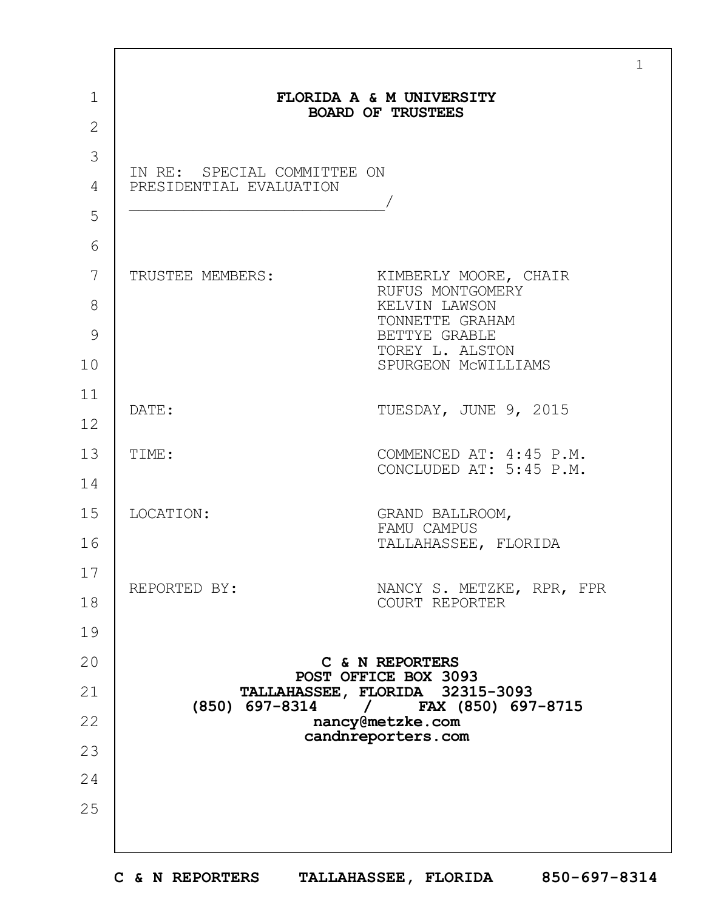| $\mathbf 1$    |                                                                                                                                   |                                             |  |  |  |  |
|----------------|-----------------------------------------------------------------------------------------------------------------------------------|---------------------------------------------|--|--|--|--|
|                | FLORIDA A & M UNIVERSITY<br><b>BOARD OF TRUSTEES</b>                                                                              |                                             |  |  |  |  |
| $\overline{2}$ |                                                                                                                                   |                                             |  |  |  |  |
| 3              | IN RE: SPECIAL COMMITTEE ON<br>PRESIDENTIAL EVALUATION                                                                            |                                             |  |  |  |  |
| 4              |                                                                                                                                   |                                             |  |  |  |  |
| 5              |                                                                                                                                   |                                             |  |  |  |  |
| 6              |                                                                                                                                   |                                             |  |  |  |  |
| 7              | TRUSTEE MEMBERS:                                                                                                                  | KIMBERLY MOORE, CHAIR<br>RUFUS MONTGOMERY   |  |  |  |  |
| 8              |                                                                                                                                   | KELVIN LAWSON<br>TONNETTE GRAHAM            |  |  |  |  |
| 9              |                                                                                                                                   | BETTYE GRABLE<br>TOREY L. ALSTON            |  |  |  |  |
| 10             |                                                                                                                                   | SPURGEON MCWILLIAMS                         |  |  |  |  |
| 11             |                                                                                                                                   |                                             |  |  |  |  |
| 12             | DATE:                                                                                                                             | TUESDAY, JUNE 9, 2015                       |  |  |  |  |
| 13             | TIME:                                                                                                                             | COMMENCED AT: 4:45 P.M.                     |  |  |  |  |
| 14             |                                                                                                                                   | CONCLUDED AT: 5:45 P.M.                     |  |  |  |  |
| 15             | LOCATION:                                                                                                                         | GRAND BALLROOM,                             |  |  |  |  |
| 16             |                                                                                                                                   | FAMU CAMPUS<br>TALLAHASSEE, FLORIDA         |  |  |  |  |
| 17             |                                                                                                                                   |                                             |  |  |  |  |
| 18             | REPORTED BY:                                                                                                                      | NANCY S. METZKE, RPR, FPR<br>COURT REPORTER |  |  |  |  |
| 19             |                                                                                                                                   |                                             |  |  |  |  |
| 20             |                                                                                                                                   | C & N REPORTERS                             |  |  |  |  |
| 21             | POST OFFICE BOX 3093<br>TALLAHASSEE, FLORIDA 32315-3093<br>(850) 697-8314<br>FAX (850) 697-8715<br>$\sqrt{2}$<br>nancy@metzke.com |                                             |  |  |  |  |
| 22             |                                                                                                                                   |                                             |  |  |  |  |
| 23             |                                                                                                                                   | candnreporters.com                          |  |  |  |  |
| 24             |                                                                                                                                   |                                             |  |  |  |  |
| 25             |                                                                                                                                   |                                             |  |  |  |  |
|                |                                                                                                                                   |                                             |  |  |  |  |
|                |                                                                                                                                   |                                             |  |  |  |  |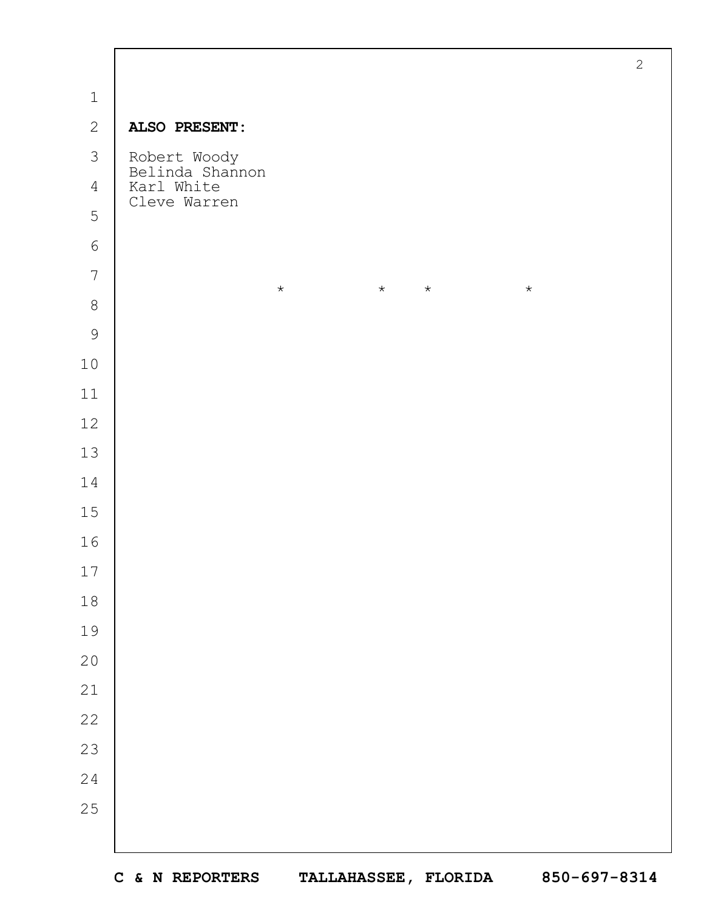|                |                                          | $\overline{c}$ |
|----------------|------------------------------------------|----------------|
| $\mathbf 1$    |                                          |                |
| $\mathbf{2}$   | ALSO PRESENT:                            |                |
| 3              | Robert Woody<br>Belinda Shannon          |                |
| $\overline{4}$ | Karl White                               |                |
| 5              | Cleve Warren                             |                |
| $\epsilon$     |                                          |                |
| $\overline{7}$ | $\star$<br>$\star$<br>$\star$<br>$\star$ |                |
| $\,8\,$        |                                          |                |
| $\mathcal{G}$  |                                          |                |
| $10$           |                                          |                |
| $11$           |                                          |                |
| 12             |                                          |                |
| 13             |                                          |                |
| 14             |                                          |                |
| 15             |                                          |                |
| 16             |                                          |                |
| $17$           |                                          |                |
| $1\,8$         |                                          |                |
| 19             |                                          |                |
| $20$           |                                          |                |
| 21             |                                          |                |
| 22             |                                          |                |
| 23             |                                          |                |
| $2\sqrt{4}$    |                                          |                |
| 25             |                                          |                |
|                |                                          |                |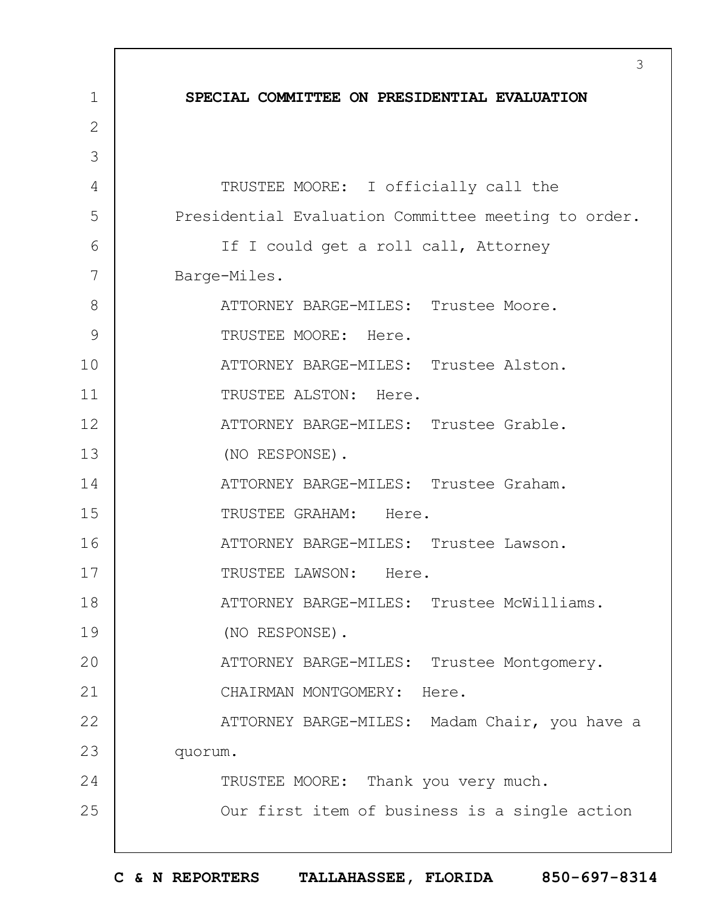1 2 3 4 5 6 7 8 9 10 11 12 13 14 15 16 17 18 19  $20$ 21 22 23 24 25 3 **SPECIAL COMMITTEE ON PRESIDENTIAL EVALUATION** TRUSTEE MOORE: I officially call the Presidential Evaluation Committee meeting to order. If I could get a roll call, Attorney Barge-Miles. ATTORNEY BARGE-MILES: Trustee Moore. TRUSTEE MOORE: Here. ATTORNEY BARGE-MILES: Trustee Alston. TRUSTEE ALSTON: Here. ATTORNEY BARGE-MILES: Trustee Grable. (NO RESPONSE). ATTORNEY BARGE-MILES: Trustee Graham. TRUSTEE GRAHAM: Here. ATTORNEY BARGE-MILES: Trustee Lawson. TRUSTEE LAWSON: Here. ATTORNEY BARGE-MILES: Trustee McWilliams. (NO RESPONSE). ATTORNEY BARGE-MILES: Trustee Montgomery. CHAIRMAN MONTGOMERY: Here. ATTORNEY BARGE-MILES: Madam Chair, you have a quorum. TRUSTEE MOORE: Thank you very much. Our first item of business is a single action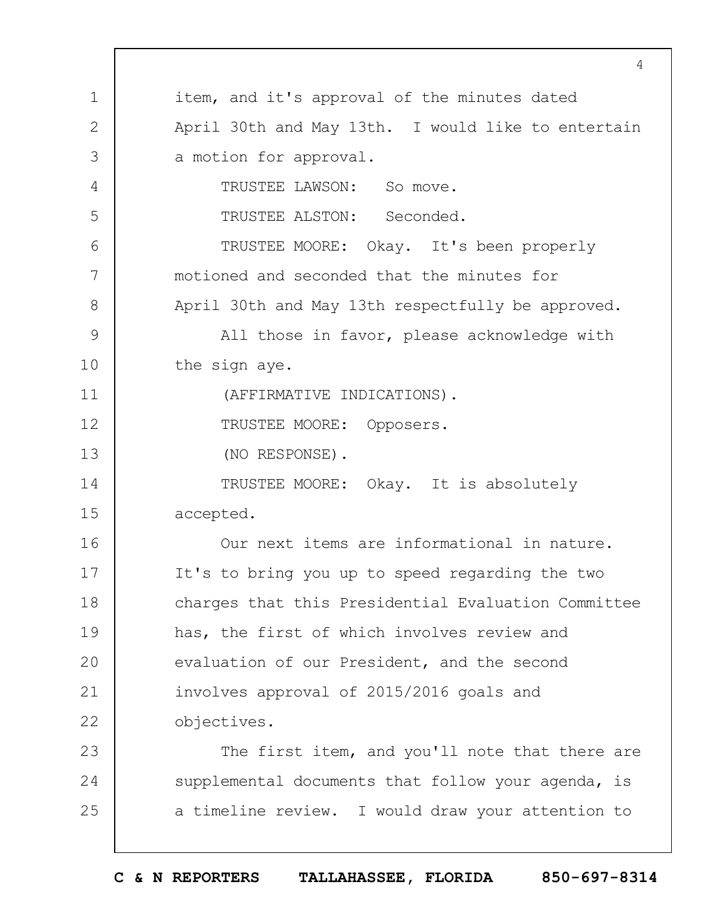1 2 3 4 5 6 7 8 9 10 11 12 13 14 15 16 17 18 19  $20$ 21 22 23 24 25 4 item, and it's approval of the minutes dated April 30th and May 13th. I would like to entertain a motion for approval. TRUSTEE LAWSON: So move. TRUSTEE ALSTON: Seconded. TRUSTEE MOORE: Okay. It's been properly motioned and seconded that the minutes for April 30th and May 13th respectfully be approved. All those in favor, please acknowledge with the sign aye. (AFFIRMATIVE INDICATIONS). TRUSTEE MOORE: Opposers. (NO RESPONSE). TRUSTEE MOORE: Okay. It is absolutely accepted. Our next items are informational in nature. It's to bring you up to speed regarding the two charges that this Presidential Evaluation Committee has, the first of which involves review and evaluation of our President, and the second involves approval of 2015/2016 goals and objectives. The first item, and you'll note that there are supplemental documents that follow your agenda, is a timeline review. I would draw your attention to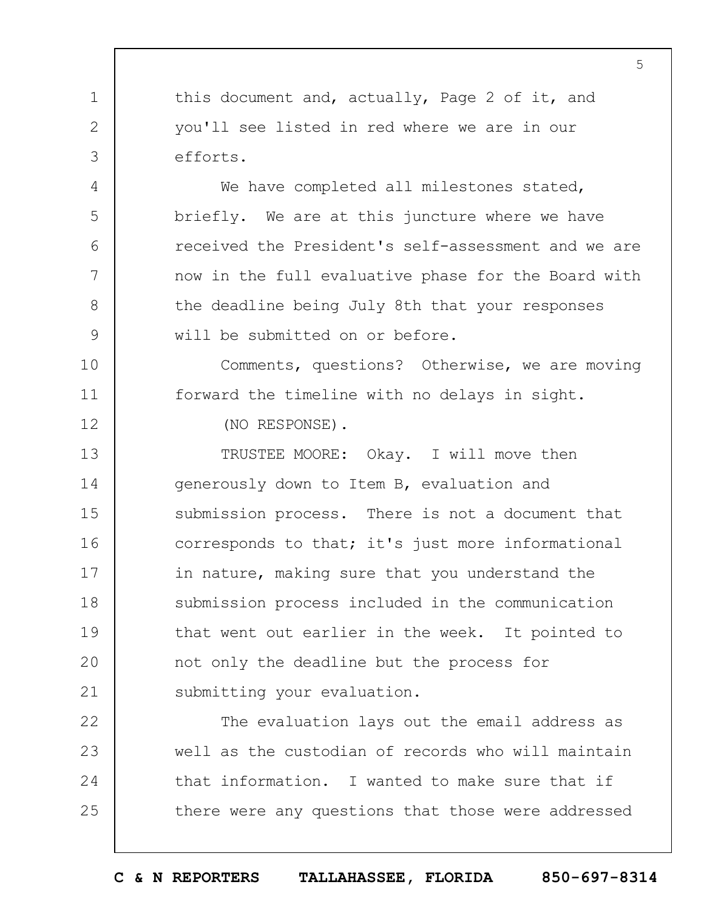this document and, actually, Page 2 of it, and you'll see listed in red where we are in our efforts.

We have completed all milestones stated, briefly. We are at this juncture where we have received the President's self-assessment and we are now in the full evaluative phase for the Board with the deadline being July 8th that your responses will be submitted on or before.

Comments, questions? Otherwise, we are moving forward the timeline with no delays in sight.

(NO RESPONSE).

1

2

3

4

5

6

7

8

9

10

11

12

13 14 15 16 17 18 19  $20$ 21 TRUSTEE MOORE: Okay. I will move then generously down to Item B, evaluation and submission process. There is not a document that corresponds to that; it's just more informational in nature, making sure that you understand the submission process included in the communication that went out earlier in the week. It pointed to not only the deadline but the process for submitting your evaluation.

22 23 24 25 The evaluation lays out the email address as well as the custodian of records who will maintain that information. I wanted to make sure that if there were any questions that those were addressed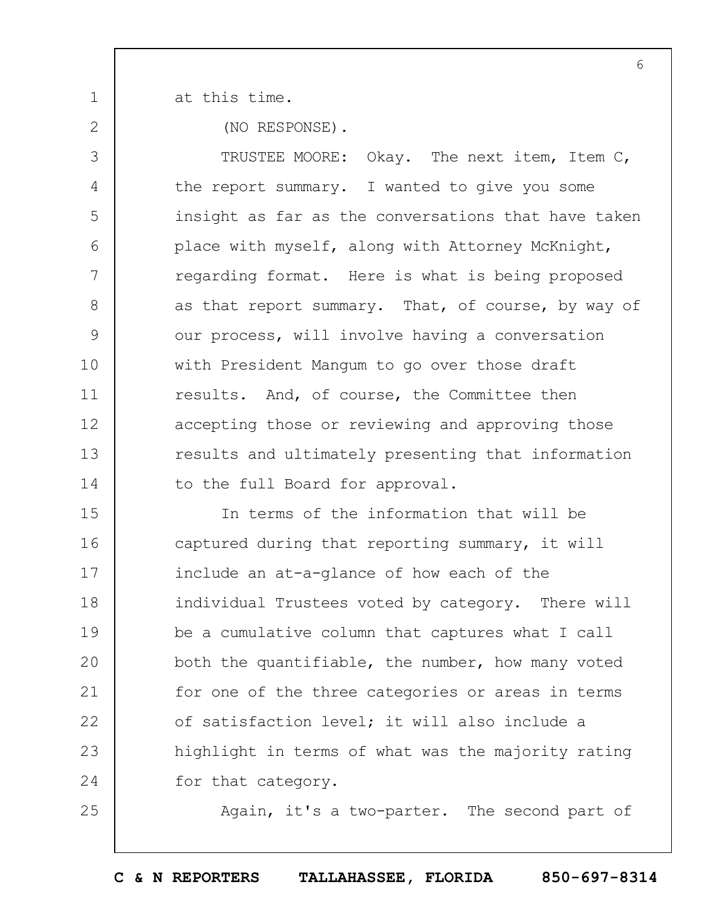2

25

1

at this time.

(NO RESPONSE).

3 4 5 6 7 8 9 10 11 12 13 14 TRUSTEE MOORE: Okay. The next item, Item C, the report summary. I wanted to give you some insight as far as the conversations that have taken place with myself, along with Attorney McKnight, regarding format. Here is what is being proposed as that report summary. That, of course, by way of our process, will involve having a conversation with President Mangum to go over those draft results. And, of course, the Committee then accepting those or reviewing and approving those results and ultimately presenting that information to the full Board for approval.

15 16 17 18 19  $20$ 21 22 23 24 In terms of the information that will be captured during that reporting summary, it will include an at-a-glance of how each of the individual Trustees voted by category. There will be a cumulative column that captures what I call both the quantifiable, the number, how many voted for one of the three categories or areas in terms of satisfaction level; it will also include a highlight in terms of what was the majority rating for that category.

Again, it's a two-parter. The second part of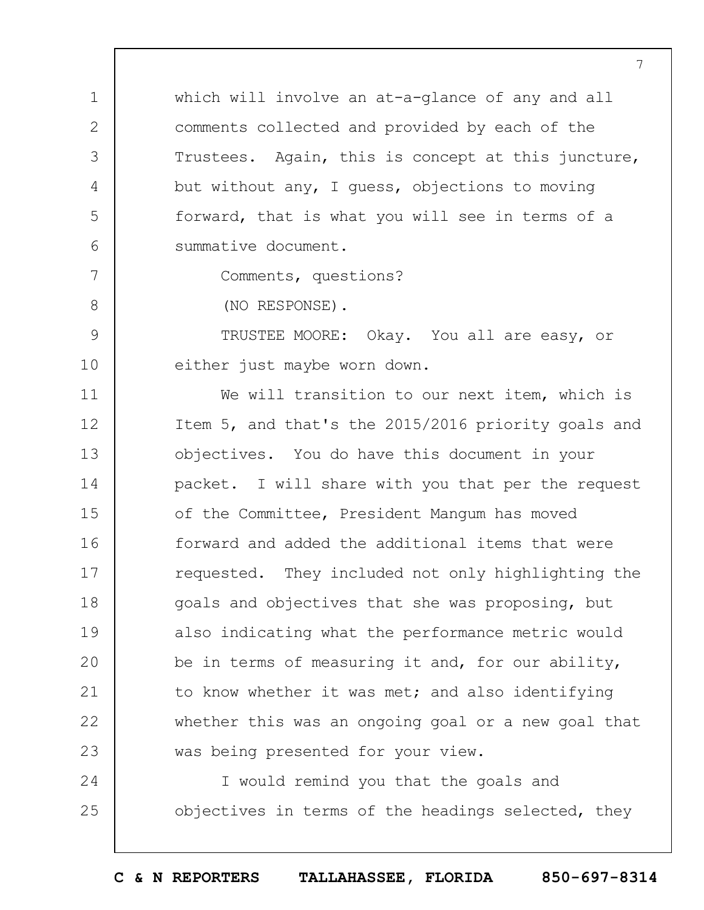which will involve an at-a-glance of any and all comments collected and provided by each of the Trustees. Again, this is concept at this juncture, but without any, I guess, objections to moving forward, that is what you will see in terms of a summative document.

1

2

3

4

5

6

7

8

9

10

Comments, questions?

(NO RESPONSE).

TRUSTEE MOORE: Okay. You all are easy, or either just maybe worn down.

11 12 13 14 15 16 17 18 19  $20$ 21 22 23 We will transition to our next item, which is Item 5, and that's the 2015/2016 priority goals and objectives. You do have this document in your packet. I will share with you that per the request of the Committee, President Mangum has moved forward and added the additional items that were requested. They included not only highlighting the goals and objectives that she was proposing, but also indicating what the performance metric would be in terms of measuring it and, for our ability, to know whether it was met; and also identifying whether this was an ongoing goal or a new goal that was being presented for your view.

24 25 I would remind you that the goals and objectives in terms of the headings selected, they

**C & N REPORTERS TALLAHASSEE, FLORIDA 850-697-8314**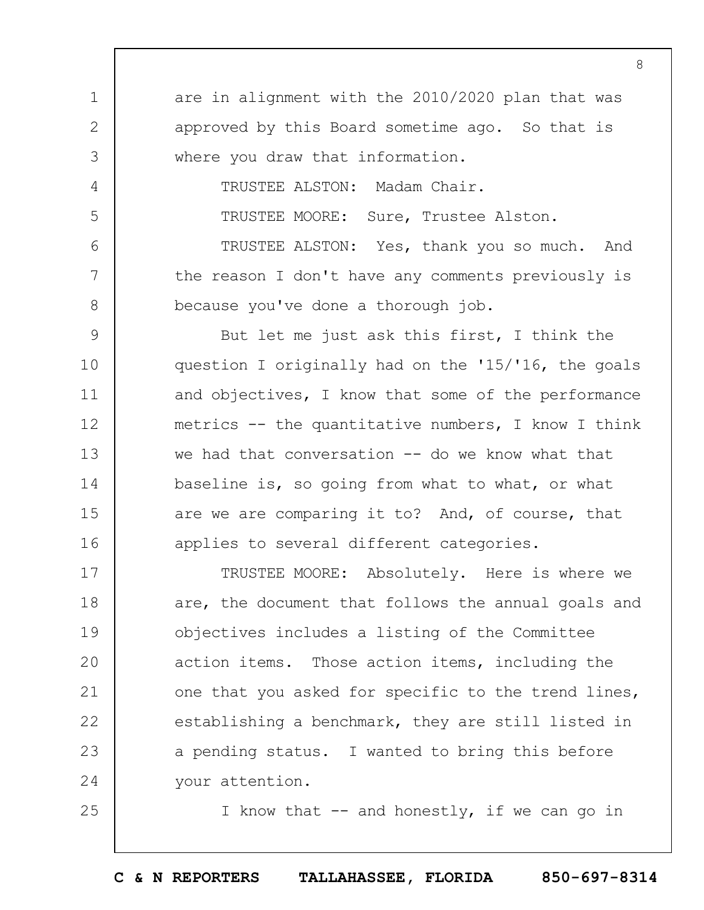1 2 3 4 5 6 7 8 9 10 11 12 13 14 15 16 17 18 19  $20$ 21 22 23 24 25 are in alignment with the 2010/2020 plan that was approved by this Board sometime ago. So that is where you draw that information. TRUSTEE ALSTON: Madam Chair. TRUSTEE MOORE: Sure, Trustee Alston. TRUSTEE ALSTON: Yes, thank you so much. And the reason I don't have any comments previously is because you've done a thorough job. But let me just ask this first, I think the question I originally had on the '15/'16, the goals and objectives, I know that some of the performance metrics -- the quantitative numbers, I know I think we had that conversation  $-$ - do we know what that baseline is, so going from what to what, or what are we are comparing it to? And, of course, that applies to several different categories. TRUSTEE MOORE: Absolutely. Here is where we are, the document that follows the annual goals and objectives includes a listing of the Committee action items. Those action items, including the one that you asked for specific to the trend lines, establishing a benchmark, they are still listed in a pending status. I wanted to bring this before your attention. I know that  $-$  and honestly, if we can go in

8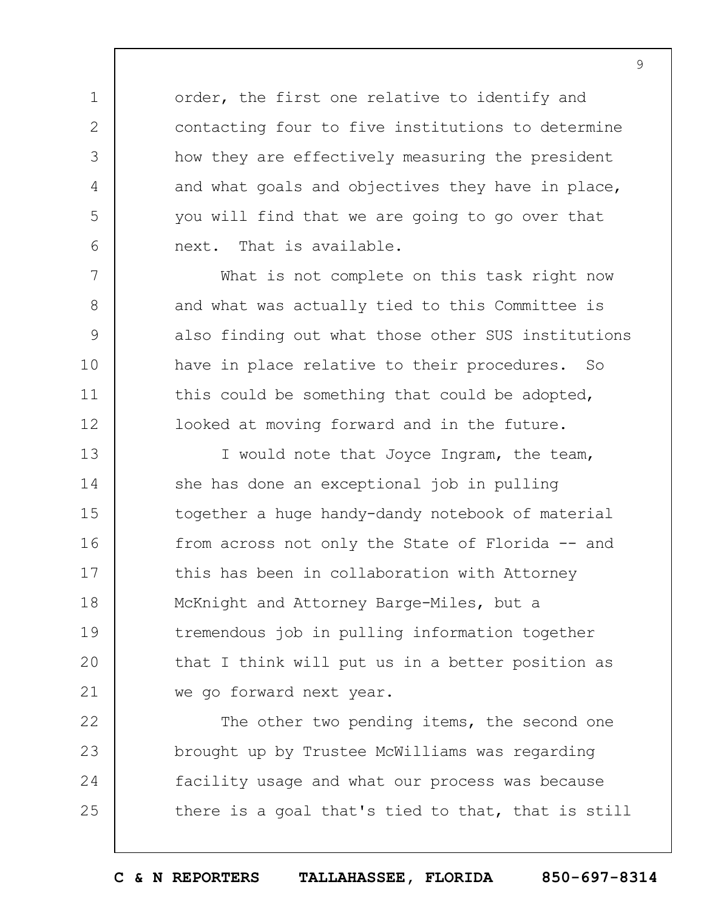order, the first one relative to identify and contacting four to five institutions to determine how they are effectively measuring the president and what goals and objectives they have in place, you will find that we are going to go over that next. That is available.

1

2

3

4

5

6

7

8

9

10

11

12

What is not complete on this task right now and what was actually tied to this Committee is also finding out what those other SUS institutions have in place relative to their procedures. So this could be something that could be adopted, looked at moving forward and in the future.

13 14 15 16 17 18 19  $20$ 21 I would note that Joyce Ingram, the team, she has done an exceptional job in pulling together a huge handy-dandy notebook of material from across not only the State of Florida -- and this has been in collaboration with Attorney McKnight and Attorney Barge-Miles, but a tremendous job in pulling information together that I think will put us in a better position as we go forward next year.

22 23 24 25 The other two pending items, the second one brought up by Trustee McWilliams was regarding facility usage and what our process was because there is a goal that's tied to that, that is still

**C & N REPORTERS TALLAHASSEE, FLORIDA 850-697-8314**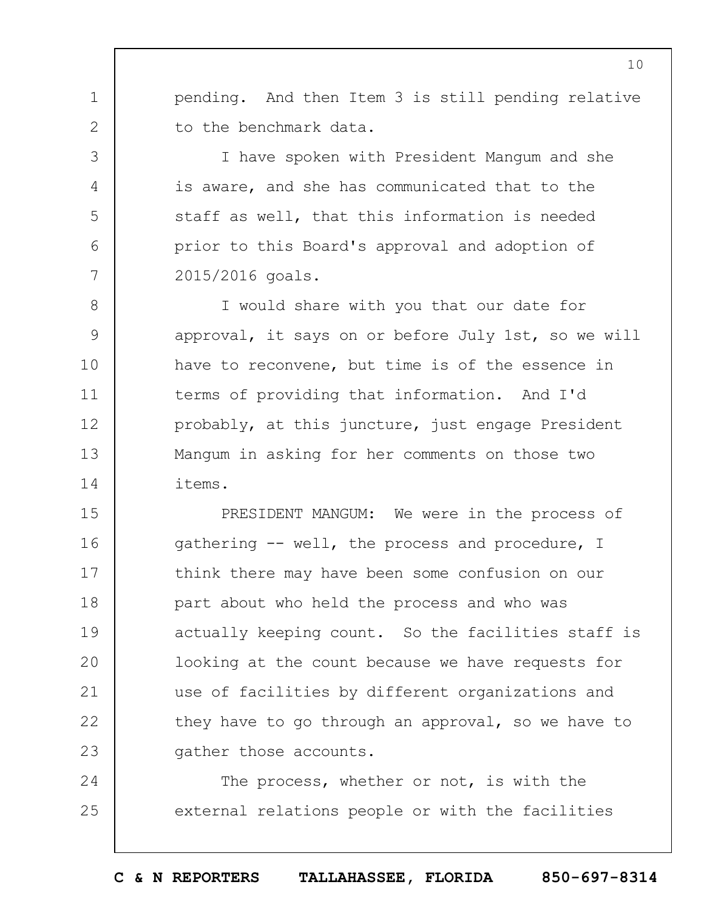pending. And then Item 3 is still pending relative to the benchmark data.

1

2

3

4

5

6

7

I have spoken with President Mangum and she is aware, and she has communicated that to the staff as well, that this information is needed prior to this Board's approval and adoption of 2015/2016 goals.

8 9 10 11 12 13 14 I would share with you that our date for approval, it says on or before July 1st, so we will have to reconvene, but time is of the essence in terms of providing that information. And I'd probably, at this juncture, just engage President Mangum in asking for her comments on those two items.

15 16 17 18 19  $20$ 21 22 23 PRESIDENT MANGUM: We were in the process of gathering -- well, the process and procedure, I think there may have been some confusion on our part about who held the process and who was actually keeping count. So the facilities staff is looking at the count because we have requests for use of facilities by different organizations and they have to go through an approval, so we have to gather those accounts.

24 25 The process, whether or not, is with the external relations people or with the facilities

**C & N REPORTERS TALLAHASSEE, FLORIDA 850-697-8314**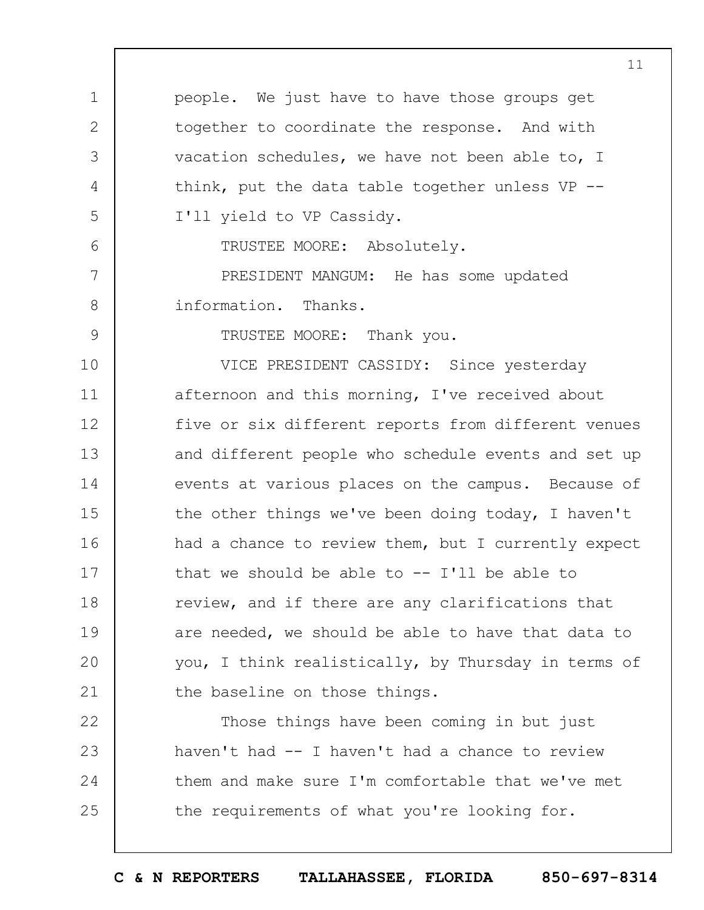1 2 3 4 5 6 7 8 9 10 11 12 13 14 15 16 17 18 19  $20$ 21 22 23 24 people. We just have to have those groups get together to coordinate the response. And with vacation schedules, we have not been able to, I think, put the data table together unless VP -- I'll yield to VP Cassidy. TRUSTEE MOORE: Absolutely. PRESIDENT MANGUM: He has some updated information. Thanks. TRUSTEE MOORE: Thank you. VICE PRESIDENT CASSIDY: Since yesterday afternoon and this morning, I've received about five or six different reports from different venues and different people who schedule events and set up events at various places on the campus. Because of the other things we've been doing today, I haven't had a chance to review them, but I currently expect that we should be able to  $-$ - I'll be able to review, and if there are any clarifications that are needed, we should be able to have that data to you, I think realistically, by Thursday in terms of the baseline on those things. Those things have been coming in but just haven't had -- I haven't had a chance to review them and make sure I'm comfortable that we've met

11

the requirements of what you're looking for.

25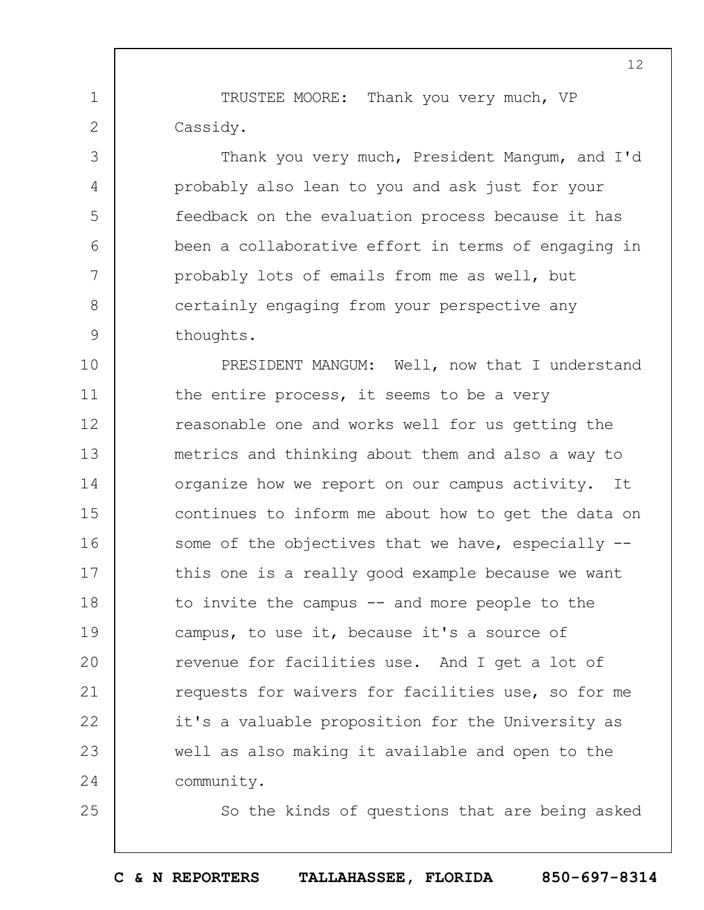TRUSTEE MOORE: Thank you very much, VP Cassidy.

1

2

3

4

5

6

7

8

9

25

Thank you very much, President Mangum, and I'd probably also lean to you and ask just for your feedback on the evaluation process because it has been a collaborative effort in terms of engaging in probably lots of emails from me as well, but certainly engaging from your perspective any thoughts.

10 11 12 13 14 15 16 17 18 19  $20$ 21 22 23 24 PRESIDENT MANGUM: Well, now that I understand the entire process, it seems to be a very reasonable one and works well for us getting the metrics and thinking about them and also a way to organize how we report on our campus activity. It continues to inform me about how to get the data on some of the objectives that we have, especially -this one is a really good example because we want to invite the campus -- and more people to the campus, to use it, because it's a source of revenue for facilities use. And I get a lot of requests for waivers for facilities use, so for me it's a valuable proposition for the University as well as also making it available and open to the community.

So the kinds of questions that are being asked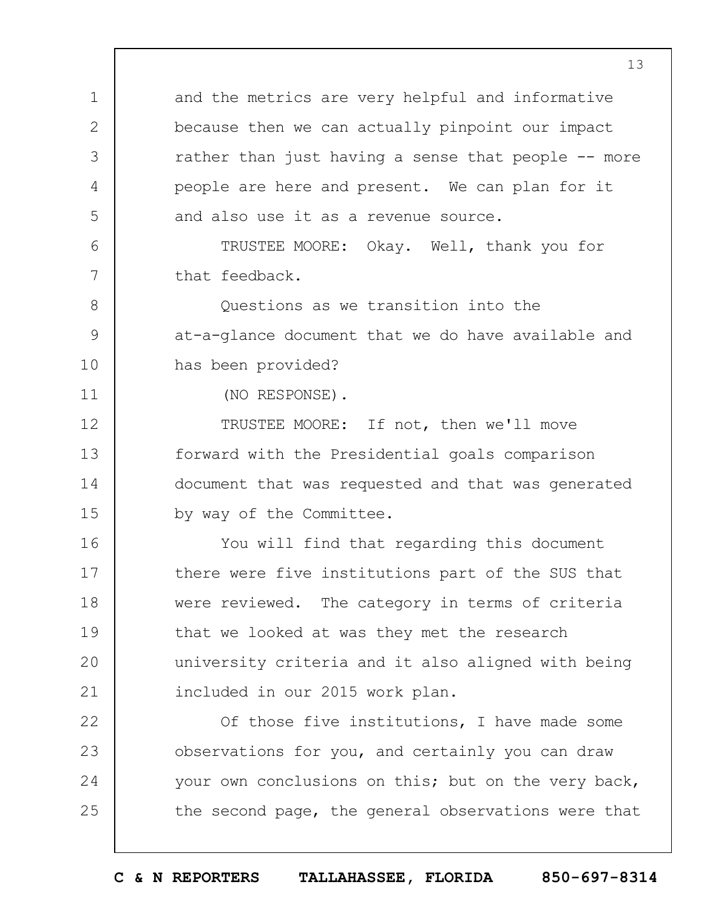and the metrics are very helpful and informative because then we can actually pinpoint our impact rather than just having a sense that people -- more people are here and present. We can plan for it and also use it as a revenue source.

TRUSTEE MOORE: Okay. Well, thank you for that feedback.

Questions as we transition into the at-a-glance document that we do have available and has been provided?

(NO RESPONSE).

1

2

3

4

5

6

7

8

9

10

11

12 13 14 15 TRUSTEE MOORE: If not, then we'll move forward with the Presidential goals comparison document that was requested and that was generated by way of the Committee.

16 17 18 19  $20$ 21 You will find that regarding this document there were five institutions part of the SUS that were reviewed. The category in terms of criteria that we looked at was they met the research university criteria and it also aligned with being included in our 2015 work plan.

22 23 24 25 Of those five institutions, I have made some observations for you, and certainly you can draw your own conclusions on this; but on the very back, the second page, the general observations were that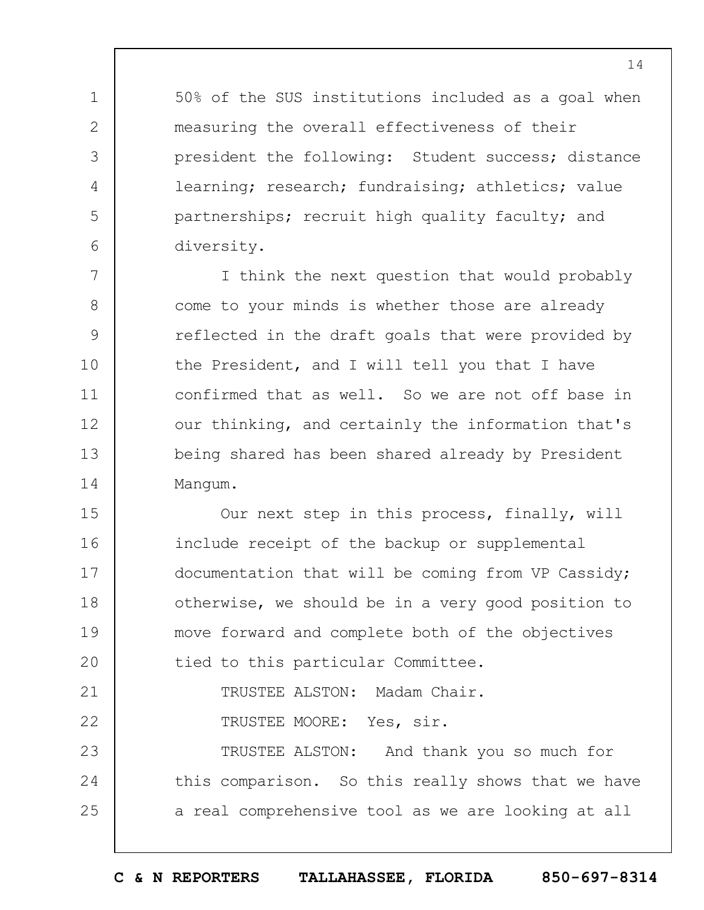50% of the SUS institutions included as a goal when measuring the overall effectiveness of their president the following: Student success; distance learning; research; fundraising; athletics; value partnerships; recruit high quality faculty; and diversity.

1

2

3

4

5

6

7 8 9 10 11 12 13 14 I think the next question that would probably come to your minds is whether those are already reflected in the draft goals that were provided by the President, and I will tell you that I have confirmed that as well. So we are not off base in our thinking, and certainly the information that's being shared has been shared already by President Mangum.

15 16 17 18 19  $20$ 21 22 23 24 25 Our next step in this process, finally, will include receipt of the backup or supplemental documentation that will be coming from VP Cassidy; otherwise, we should be in a very good position to move forward and complete both of the objectives tied to this particular Committee. TRUSTEE ALSTON: Madam Chair. TRUSTEE MOORE: Yes, sir. TRUSTEE ALSTON: And thank you so much for this comparison. So this really shows that we have a real comprehensive tool as we are looking at all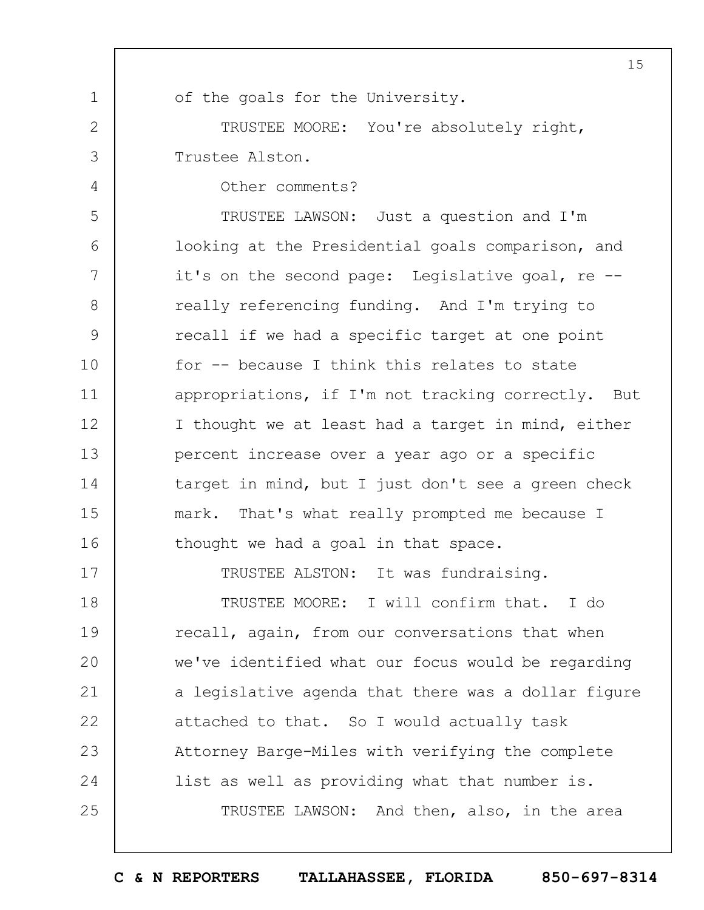1 2 3 4 5 6 7 8 9 10 11 12 13 14 15 16 17 18 19  $20$ 21 22 23 24 25 15 of the goals for the University. TRUSTEE MOORE: You're absolutely right, Trustee Alston. Other comments? TRUSTEE LAWSON: Just a question and I'm looking at the Presidential goals comparison, and it's on the second page: Legislative goal, re - really referencing funding. And I'm trying to recall if we had a specific target at one point for -- because I think this relates to state appropriations, if I'm not tracking correctly. But I thought we at least had a target in mind, either percent increase over a year ago or a specific target in mind, but I just don't see a green check mark. That's what really prompted me because I thought we had a goal in that space. TRUSTEE ALSTON: It was fundraising. TRUSTEE MOORE: I will confirm that. I do recall, again, from our conversations that when we've identified what our focus would be regarding a legislative agenda that there was a dollar figure attached to that. So I would actually task Attorney Barge-Miles with verifying the complete list as well as providing what that number is. TRUSTEE LAWSON: And then, also, in the area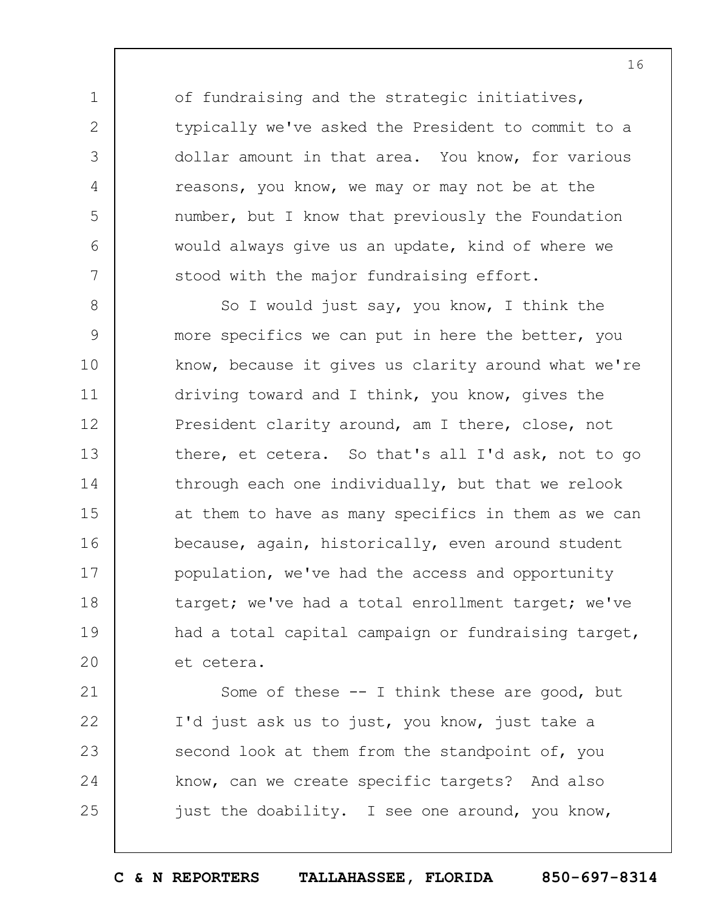of fundraising and the strategic initiatives, typically we've asked the President to commit to a dollar amount in that area. You know, for various reasons, you know, we may or may not be at the number, but I know that previously the Foundation would always give us an update, kind of where we stood with the major fundraising effort.

1

2

3

4

5

6

7

8 9 10 11 12 13 14 15 16 17 18 19  $20$ So I would just say, you know, I think the more specifics we can put in here the better, you know, because it gives us clarity around what we're driving toward and I think, you know, gives the President clarity around, am I there, close, not there, et cetera. So that's all I'd ask, not to go through each one individually, but that we relook at them to have as many specifics in them as we can because, again, historically, even around student population, we've had the access and opportunity target; we've had a total enrollment target; we've had a total capital campaign or fundraising target, et cetera.

21 22 23 24 25 Some of these -- I think these are good, but I'd just ask us to just, you know, just take a second look at them from the standpoint of, you know, can we create specific targets? And also just the doability. I see one around, you know,

**C & N REPORTERS TALLAHASSEE, FLORIDA 850-697-8314**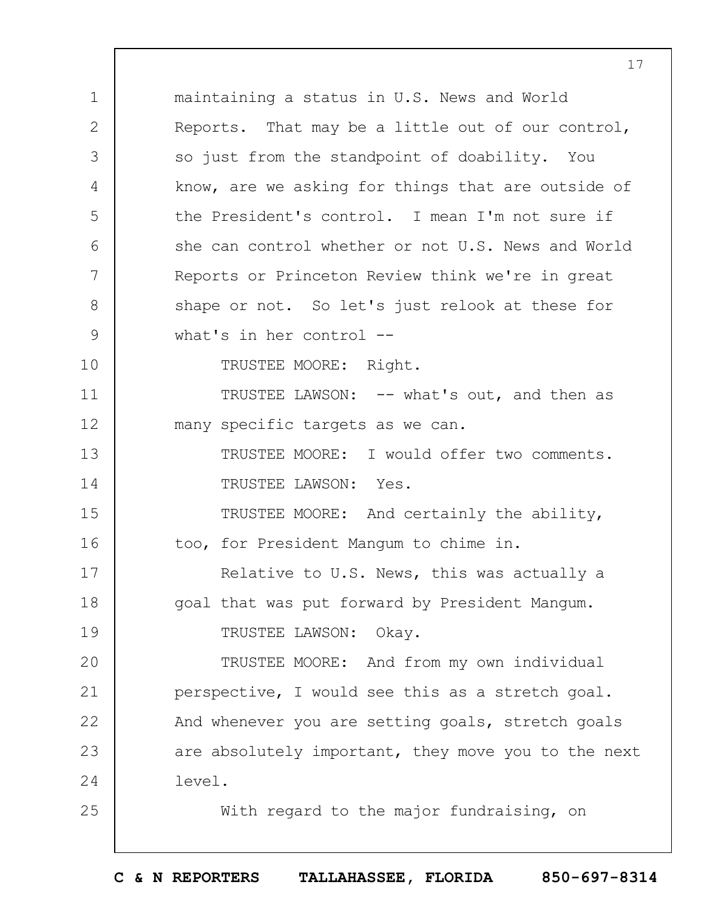1 2 3 4 5 6 7 8 9 10 11 12 13 14 15 16 17 18 19  $20$ 21 22 23 24 25 maintaining a status in U.S. News and World Reports. That may be a little out of our control, so just from the standpoint of doability. You know, are we asking for things that are outside of the President's control. I mean I'm not sure if she can control whether or not U.S. News and World Reports or Princeton Review think we're in great shape or not. So let's just relook at these for what's in her control -- TRUSTEE MOORE: Right. TRUSTEE LAWSON: -- what's out, and then as many specific targets as we can. TRUSTEE MOORE: I would offer two comments. TRUSTEE LAWSON: Yes. TRUSTEE MOORE: And certainly the ability, too, for President Mangum to chime in. Relative to U.S. News, this was actually a goal that was put forward by President Mangum. TRUSTEE LAWSON: Okay. TRUSTEE MOORE: And from my own individual perspective, I would see this as a stretch goal. And whenever you are setting goals, stretch goals are absolutely important, they move you to the next level. With regard to the major fundraising, on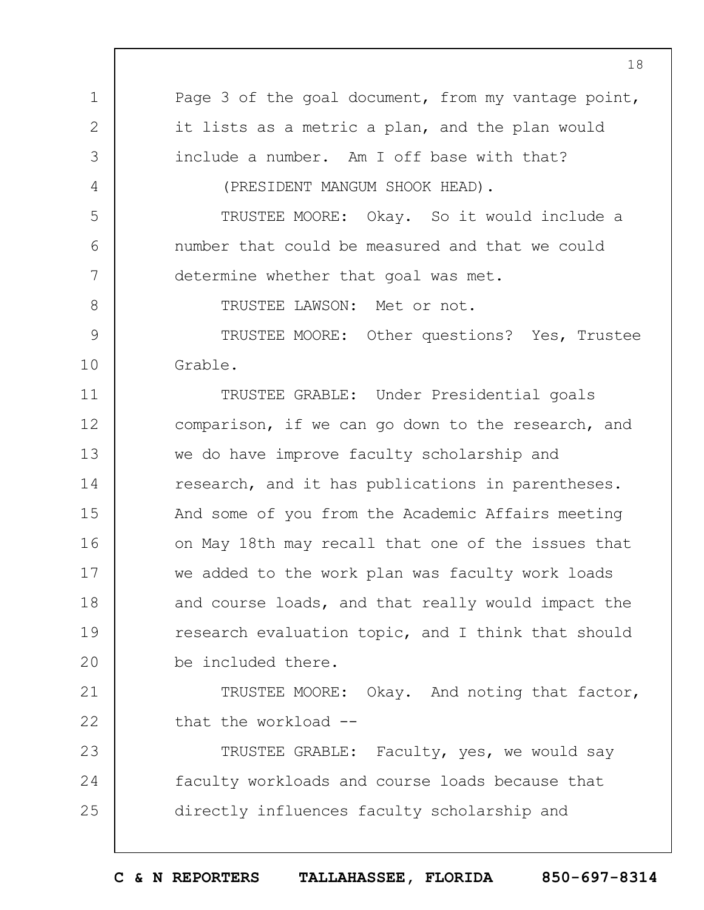1 2 3 4 5 6 7 8 9 10 11 12 13 14 15 16 17 18 19  $20$ 21 22 23 24 25 Page 3 of the goal document, from my vantage point, it lists as a metric a plan, and the plan would include a number. Am I off base with that? (PRESIDENT MANGUM SHOOK HEAD). TRUSTEE MOORE: Okay. So it would include a number that could be measured and that we could determine whether that goal was met. TRUSTEE LAWSON: Met or not. TRUSTEE MOORE: Other questions? Yes, Trustee Grable. TRUSTEE GRABLE: Under Presidential goals comparison, if we can go down to the research, and we do have improve faculty scholarship and research, and it has publications in parentheses. And some of you from the Academic Affairs meeting on May 18th may recall that one of the issues that we added to the work plan was faculty work loads and course loads, and that really would impact the research evaluation topic, and I think that should be included there. TRUSTEE MOORE: Okay. And noting that factor, that the workload -- TRUSTEE GRABLE: Faculty, yes, we would say faculty workloads and course loads because that directly influences faculty scholarship and

18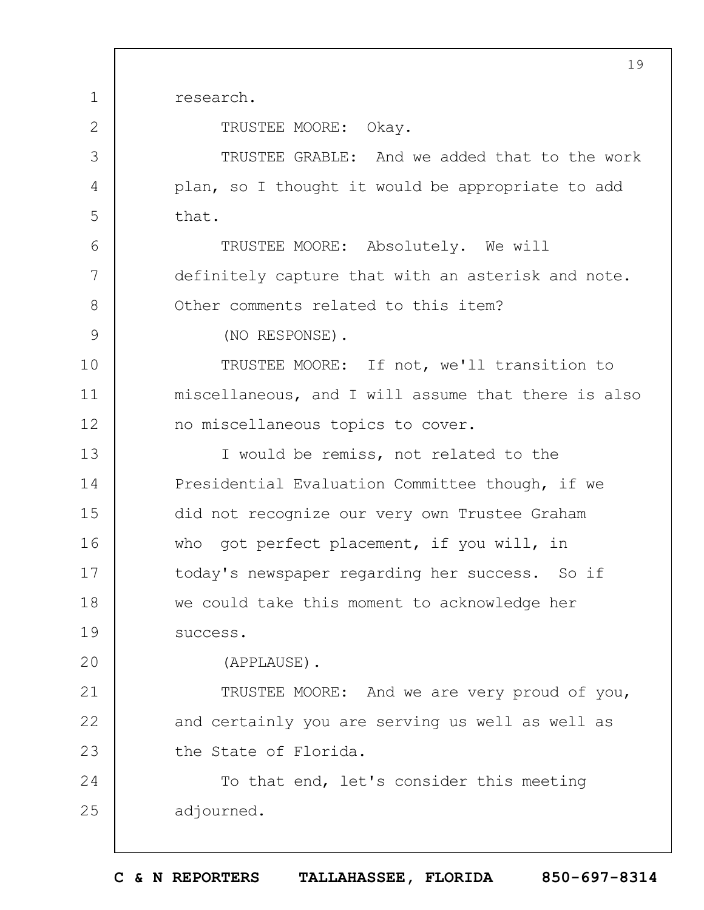1 2 3 4 5 6 7 8 9 10 11 12 13 14 15 16 17 18 19  $20$ 21 22 23 24 25 19 research. TRUSTEE MOORE: Okay. TRUSTEE GRABLE: And we added that to the work plan, so I thought it would be appropriate to add that. TRUSTEE MOORE: Absolutely. We will definitely capture that with an asterisk and note. Other comments related to this item? (NO RESPONSE). TRUSTEE MOORE: If not, we'll transition to miscellaneous, and I will assume that there is also no miscellaneous topics to cover. I would be remiss, not related to the Presidential Evaluation Committee though, if we did not recognize our very own Trustee Graham who got perfect placement, if you will, in today's newspaper regarding her success. So if we could take this moment to acknowledge her success. (APPLAUSE). TRUSTEE MOORE: And we are very proud of you, and certainly you are serving us well as well as the State of Florida. To that end, let's consider this meeting adjourned.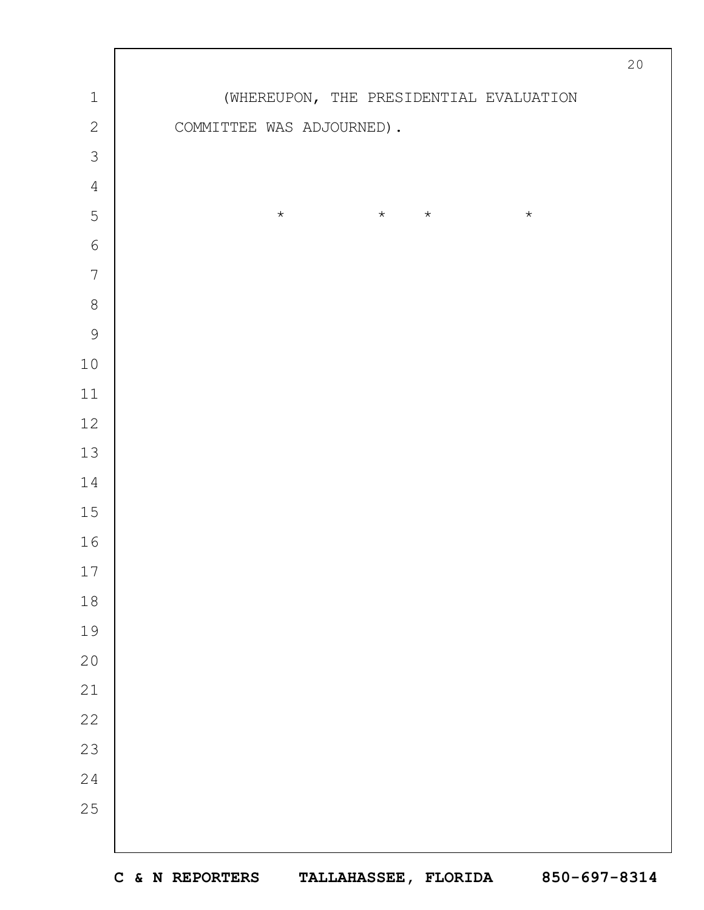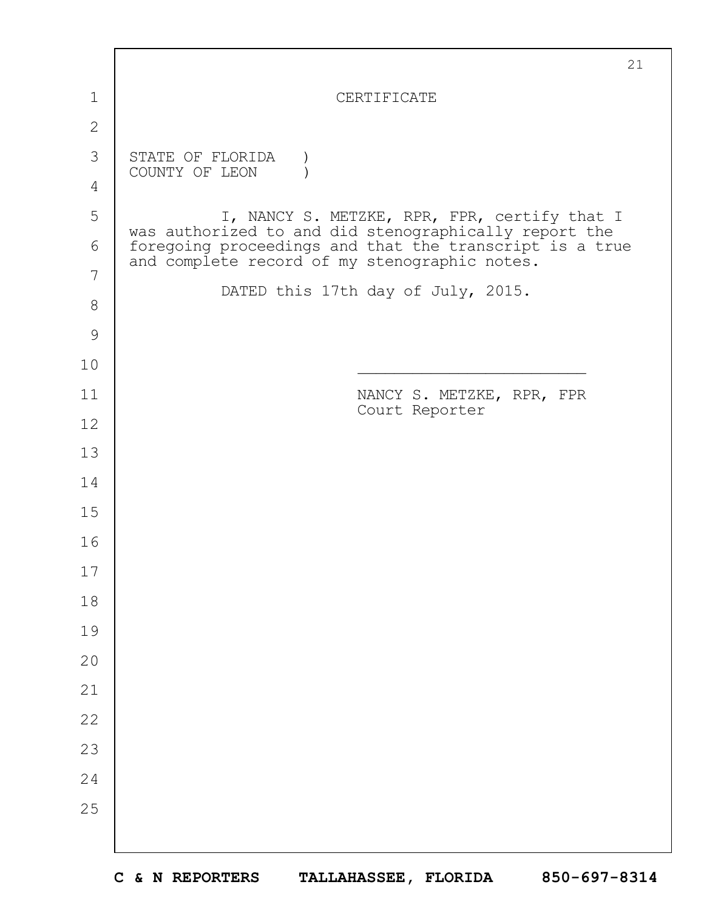|               | 21                                                                                                       |
|---------------|----------------------------------------------------------------------------------------------------------|
| 1             | CERTIFICATE                                                                                              |
| $\mathbf{2}$  |                                                                                                          |
| 3             | STATE OF FLORIDA<br>COUNTY OF LEON                                                                       |
| 4             |                                                                                                          |
| 5             | I, NANCY S. METZKE, RPR, FPR, certify that I<br>was authorized to and did stenographically report the    |
| 6             | foregoing proceedings and that the transcript is a true<br>and complete record of my stenographic notes. |
| 7             | DATED this 17th day of July, 2015.                                                                       |
| $8\,$         |                                                                                                          |
| $\mathcal{G}$ |                                                                                                          |
| 10            |                                                                                                          |
| 11            | NANCY S. METZKE, RPR, FPR<br>Court Reporter                                                              |
| 12            |                                                                                                          |
| 13            |                                                                                                          |
| 14            |                                                                                                          |
| 15            |                                                                                                          |
| 16            |                                                                                                          |
| 17            |                                                                                                          |
| 18            |                                                                                                          |
| 19            |                                                                                                          |
| 20            |                                                                                                          |
| 21            |                                                                                                          |
| 22            |                                                                                                          |
| 23            |                                                                                                          |
| 24            |                                                                                                          |
| 25            |                                                                                                          |
|               |                                                                                                          |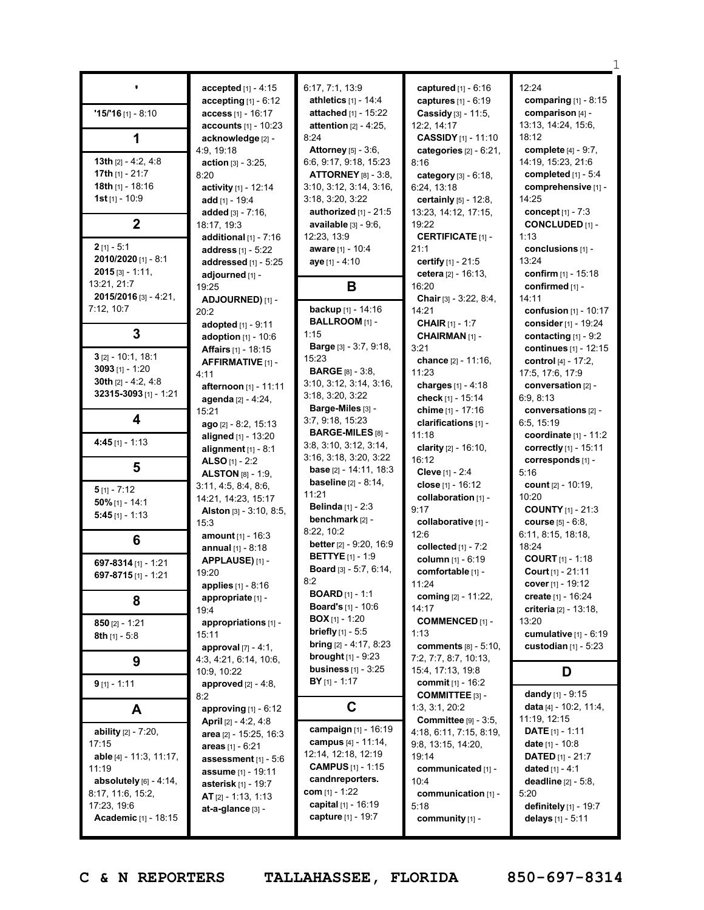|                         |                                                              | 6:17, 7:1, 13:9                 |                                            | 12:24                       |
|-------------------------|--------------------------------------------------------------|---------------------------------|--------------------------------------------|-----------------------------|
|                         | accepted [1] - 4:15                                          | athletics [1] - 14:4            | captured [1] - 6:16<br>captures [1] - 6:19 | comparing $[1]$ - 8:15      |
| $15/16$ [1] - 8:10      | accepting $[1] - 6:12$                                       | attached [1] - 15:22            | Cassidy [3] - 11:5,                        | comparison [4] -            |
|                         | <b>access</b> $[1] - 16:17$<br><b>accounts</b> $[1] - 10:23$ | attention $[2] - 4:25$ ,        | 12:2, 14:17                                | 13:13, 14:24, 15:6,         |
|                         | acknowledge [2] -                                            | 8:24                            | <b>CASSIDY</b> [1] - 11:10                 | 18:12                       |
| 1                       | 4:9, 19:18                                                   | <b>Attorney</b> [5] - 3:6,      |                                            | complete [4] - 9:7,         |
| 13th $[2] - 4:2, 4:8$   |                                                              | 6:6, 9:17, 9:18, 15:23          | categories $[2] - 6:21$ ,<br>8:16          | 14:19, 15:23, 21:6          |
| 17th $[1] - 21:7$       | <b>action</b> $[3] - 3:25$ ,<br>8:20                         | <b>ATTORNEY</b> [8] - 3:8,      | category [3] - 6:18,                       | completed [1] - 5:4         |
| 18th [1] - 18:16        | activity [1] - 12:14                                         | 3:10, 3:12, 3:14, 3:16,         | 6:24, 13:18                                | comprehensive [1] -         |
| <b>1st</b> [1] - 10:9   | add $[1] - 19:4$                                             | 3:18, 3:20, 3:22                | <b>certainly</b> $[5] - 12:8$ ,            | 14:25                       |
|                         | added [3] - 7:16,                                            | authorized $[1]$ - 21:5         | 13:23, 14:12, 17:15,                       | concept $[1] - 7:3$         |
| $\mathbf{2}$            | 18:17, 19:3                                                  | available $[3] - 9:6$ ,         | 19:22                                      | <b>CONCLUDED [1] -</b>      |
|                         | additional $[1] - 7:16$                                      | 12:23, 13:9                     | <b>CERTIFICATE [1] -</b>                   | 1:13                        |
| $2$ [1] - 5:1           | address $[1] - 5:22$                                         | aware [1] - 10:4                | 21:1                                       | conclusions [1] -           |
| 2010/2020 [1] - 8:1     | addressed [1] - 5:25                                         | aye [1] - 4:10                  | certify $[1] - 21:5$                       | 13:24                       |
| $2015$ [3] - 1:11,      | adjourned [1] -                                              |                                 | cetera [2] - 16:13,                        | confirm [1] - 15:18         |
| 13:21, 21:7             | 19:25                                                        | B                               | 16:20                                      | confirmed [1] -             |
| 2015/2016 [3] - 4:21.   | ADJOURNED) [1] -                                             |                                 | Chair [3] - 3:22, 8:4,                     | 14:11                       |
| 7:12, 10:7              | 20:2                                                         | backup [1] - 14:16              | 14:21                                      | confusion $[1] - 10:17$     |
|                         | adopted [1] - 9:11                                           | BALLROOM [1] -                  | <b>CHAIR</b> [1] - 1:7                     | consider [1] - 19:24        |
| $\overline{3}$          | <b>adoption</b> $[1] - 10:6$                                 | 1:15                            | CHAIRMAN <sup>[1]</sup> -                  | contacting $[1] - 9:2$      |
|                         | <b>Affairs</b> [1] - 18:15                                   | Barge [3] - 3:7, 9:18,          | 3:21                                       | continues [1] - 12:15       |
| $3$ [2] - 10:1, 18:1    | AFFIRMATIVE [1] -                                            | 15:23                           | chance [2] - 11:16,                        | control [4] - 17:2.         |
| 3093 $[1] - 1:20$       | 4:11                                                         | <b>BARGE</b> [8] - 3:8,         | 11:23                                      | 17:5, 17:6, 17:9            |
| 30th $[2] - 4:2, 4:8$   | afternoon [1] - 11:11                                        | 3:10, 3:12, 3:14, 3:16,         | charges $[1] - 4:18$                       | conversation [2] -          |
| 32315-3093 [1] - 1:21   | agenda [2] - 4:24,                                           | 3:18, 3:20, 3:22                | check [1] - 15:14                          | 6:9, 8:13                   |
|                         | 15:21                                                        | Barge-Miles [3] -               | chime [1] - 17:16                          | conversations [2] -         |
| 4                       | ago [2] - 8:2, 15:13                                         | 3:7, 9:18, 15:23                | clarifications [1] -                       | 6:5, 15:19                  |
|                         | aligned [1] - 13:20                                          | BARGE-MILES [8] -               | 11:18                                      | coordinate $[1] - 11:2$     |
| 4:45 $[1] - 1:13$       | alignment $[1] - 8:1$                                        | 3:8, 3:10, 3:12, 3:14,          | clarity $[2] - 16:10$ ,                    | correctly $[1] - 15:11$     |
|                         | ALSO $[1] - 2:2$                                             | 3:16, 3:18, 3:20, 3:22          | 16:12                                      | corresponds [1] -           |
| 5                       | <b>ALSTON</b> $[8] - 1:9$ ,                                  | <b>base</b> $[2] - 14:11, 18:3$ | Cleve [1] - 2:4                            | 5:16                        |
| $5$ [1] - 7:12          | 3:11, 4:5, 8:4, 8:6,                                         | <b>baseline</b> $[2] - 8:14$ ,  | close [1] - 16:12                          | count [2] - 10:19,          |
| $50\%$ [1] - 14:1       | 14:21, 14:23, 15:17                                          | 11:21                           | collaboration [1] -                        | 10:20                       |
| $5:45$ [1] - 1:13       | <b>Alston</b> $[3] - 3:10, 8:5,$                             | <b>Belinda</b> $[1] - 2:3$      | 9:17                                       | <b>COUNTY</b> $[1]$ - 21:3  |
|                         | 15:3                                                         | benchmark [2] -                 | collaborative [1] -                        | <b>course</b> $[5] - 6:8$ , |
| 6                       | <b>amount</b> [1] - 16:3                                     | 8:22, 10:2                      | 12:6                                       | 6:11, 8:15, 18:18,          |
|                         | annual $[1] - 8:18$                                          | better [2] - 9:20, 16:9         | collected [1] - 7:2                        | 18:24                       |
| 697-8314 [1] - 1:21     | APPLAUSE)[1]-                                                | <b>BETTYE</b> [1] - 1:9         | column [1] - 6:19                          | <b>COURT</b> [1] - 1:18     |
| 697-8715 $[1] - 1:21$   | 19:20                                                        | Board [3] - 5:7, 6:14,          | comfortable [1] -                          | Court [1] - 21:11           |
|                         | <b>applies</b> $[1] - 8:16$                                  | 8:2<br><b>BOARD</b> [1] - 1:1   | 11:24                                      | cover $[1] - 19:12$         |
| 8                       | appropriate [1] -                                            | <b>Board's</b> [1] - 10:6       | coming [2] - 11:22,                        | create [1] - 16:24          |
|                         | 19:4                                                         | <b>BOX</b> $[1]$ - 1:20         | 14:17                                      | criteria [2] - 13:18,       |
| $850$ [2] - 1:21        | appropriations [1] -                                         | <b>briefly</b> $[1]$ - 5:5      | <b>COMMENCED [1] -</b>                     | 13:20                       |
| 8th [1] - 5:8           | 15:11                                                        | <b>bring</b> $[2] - 4:17, 8:23$ | 1:13                                       | cumulative $[1] - 6:19$     |
|                         | approval $[7] - 4:1$ ,                                       | <b>brought</b> $[1] - 9:23$     | <b>comments</b> [8] - 5:10,                | custodian $[1]$ - 5:23      |
| 9                       | 4:3, 4:21, 6:14, 10:6,                                       | <b>business</b> $[1] - 3:25$    | 7:2, 7:7, 8:7, 10:13,<br>15:4, 17:13, 19:8 |                             |
|                         | 10:9, 10:22                                                  | $BY$ [1] - 1:17                 | <b>commit</b> [1] - 16:2                   | D                           |
| $9$ [1] - 1:11          | approved $[2] - 4:8$ ,<br>8:2                                |                                 | <b>COMMITTEE [3] -</b>                     | dandy [1] - $9:15$          |
|                         | approving $[1] - 6:12$                                       | C                               | 1:3, 3:1, 20:2                             | data [4] - 10:2, 11:4,      |
| A                       | <b>April</b> $[2] - 4:2, 4:8$                                |                                 | <b>Committee</b> [9] - 3:5,                | 11:19, 12:15                |
| ability [2] - 7:20,     | area [2] - 15:25, 16:3                                       | campaign [1] - 16:19            | 4:18, 6:11, 7:15, 8:19,                    | <b>DATE</b> $[1] - 1:11$    |
| 17:15                   | areas $[1] - 6:21$                                           | campus [4] - 11:14,             | 9:8, 13:15, 14:20,                         | date $[1] - 10:8$           |
| able [4] - 11:3, 11:17, | assessment [1] - 5:6                                         | 12:14, 12:18, 12:19             | 19:14                                      | <b>DATED</b> [1] - 21:7     |
| 11:19                   | <b>assume</b> [1] - 19:11                                    | <b>CAMPUS</b> [1] - 1:15        | communicated [1] -                         | dated $[1] - 4:1$           |
| absolutely [6] - 4:14,  | asterisk [1] - 19:7                                          | candnreporters.                 | 10:4                                       | deadline [2] - 5:8,         |
| 8:17, 11:6, 15:2,       | $AT$ [2] - 1:13, 1:13                                        | com [1] - 1:22                  | communication [1] -                        | 5:20                        |
| 17:23, 19:6             | at-a-glance [3] -                                            | capital [1] - 16:19             | 5:18                                       | definitely [1] - 19:7       |
| Academic [1] - 18:15    |                                                              | capture [1] - 19:7              | community [1] -                            | delays [1] - 5:11           |
|                         |                                                              |                                 |                                            |                             |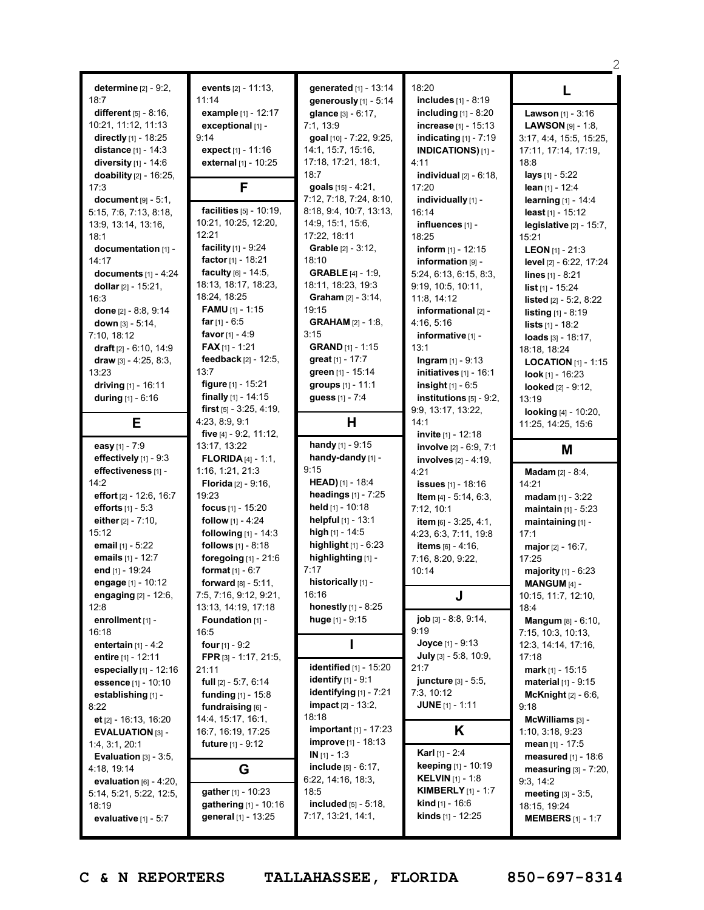|                                             |                                              |                                                      |                                                        | 2                                        |
|---------------------------------------------|----------------------------------------------|------------------------------------------------------|--------------------------------------------------------|------------------------------------------|
|                                             |                                              |                                                      |                                                        |                                          |
| determine $[2] - 9:2$ ,<br>18:7             | events [2] - 11:13,<br>11:14                 | generated [1] - 13:14                                | 18:20<br>includes [1] - 8:19                           | L                                        |
| different $[5] - 8:16$ ,                    | example [1] - 12:17                          | generously [1] - 5:14<br>glance [3] - 6:17,          | including $[1]$ - 8:20                                 | Lawson [1] - 3:16                        |
| 10:21, 11:12, 11:13                         | exceptional [1] -                            | 7:1, 13:9                                            | increase [1] - 15:13                                   | <b>LAWSON</b> [9] - 1:8,                 |
| directly [1] - 18:25                        | 9:14                                         | goal [10] - 7:22, 9:25,                              | indicating $[1]$ - 7:19                                | 3:17, 4:4, 15:5, 15:25,                  |
| distance [1] - 14:3                         | expect $[1] - 11:16$                         | 14:1, 15:7, 15:16,                                   | INDICATIONS)[1] -                                      | 17:11, 17:14, 17:19,                     |
| diversity $[1]$ - 14:6                      | external [1] - 10:25                         | 17:18, 17:21, 18:1,                                  | 4:11                                                   | 18:8                                     |
| doability [2] - 16:25,                      |                                              | 18:7                                                 | individual $[2] - 6:18$ ,                              | lays [1] - 5:22                          |
| 17:3                                        | F                                            | goals $[15] - 4:21$ ,                                | 17:20                                                  | lean $[1] - 12:4$                        |
| document $[9] - 5:1$ ,                      |                                              | 7:12, 7:18, 7:24, 8:10,                              | individually [1] -                                     | learning [1] - 14:4                      |
| 5:15, 7:6, 7:13, 8:18,                      | facilities [5] - 10:19,                      | 8:18, 9:4, 10:7, 13:13,                              | 16:14                                                  | least $[1] - 15:12$                      |
| 13:9, 13:14, 13:16,                         | 10:21, 10:25, 12:20,                         | 14:9, 15:1, 15:6,                                    | influences [1] -                                       | legislative [2] - 15:7,                  |
| 18:1                                        | 12:21                                        | 17:22, 18:11                                         | 18:25                                                  | 15:21                                    |
| documentation [1] -                         | facility [1] - 9:24                          | Grable [2] - 3:12,                                   | inform $[1] - 12:15$                                   | <b>LEON</b> [1] - 21:3                   |
| 14:17                                       | factor [1] - 18:21                           | 18:10                                                | information [9] -                                      | level [2] - 6:22, 17:24                  |
| documents $[1] - 4:24$                      | faculty $[6] - 14:5$ ,                       | <b>GRABLE</b> [4] - 1:9,                             | 5:24, 6:13, 6:15, 8:3,                                 | lines $[1] - 8:21$                       |
| dollar [2] - 15:21,                         | 18:13, 18:17, 18:23,                         | 18:11, 18:23, 19:3                                   | 9:19, 10:5, 10:11,                                     | $list$ [1] - 15:24                       |
| 16:3                                        | 18:24, 18:25                                 | Graham [2] - 3:14,                                   | 11:8, 14:12                                            | <b>listed</b> $[2] - 5:2, 8:22$          |
| done $[2] - 8:8, 9:14$                      | <b>FAMU</b> $[1]$ - 1:15<br>$far$ [1] - 6:5  | 19:15                                                | informational <sub>[2]</sub> -                         | <b>listing</b> $[1] - 8:19$              |
| down [3] - 5:14,                            | favor $[1] - 4:9$                            | <b>GRAHAM</b> [2] - 1:8,<br>3:15                     | 4:16, 5:16                                             | lists [1] - 18:2                         |
| 7:10, 18:12<br>draft [2] - 6:10, 14:9       | <b>FAX</b> $[1]$ - 1:21                      | <b>GRAND</b> $[1] - 1:15$                            | informative [1] -<br>13:1                              | loads [3] - 18:17.                       |
| draw $[3] - 4:25, 8:3,$                     | feedback [2] - 12:5,                         | great [1] - 17:7                                     | <b>Ingram</b> $[1] - 9:13$                             | 18:18, 18:24                             |
| 13:23                                       | 13:7                                         | green [1] - 15:14                                    | initiatives $[1]$ - 16:1                               | <b>LOCATION</b> [1] - 1:15               |
| driving [1] - 16:11                         | figure [1] - 15:21                           | groups [1] - 11:1                                    | <b>insight</b> $[1] - 6:5$                             | <b>look</b> $[1]$ - 16:23                |
| during [1] - 6:16                           | finally $[1] - 14:15$                        | guess [1] - 7:4                                      | institutions $[5]$ - 9:2,                              | looked [2] - 9:12,<br>13:19              |
|                                             | <b>first</b> $[5] - 3:25, 4:19,$             |                                                      | 9:9, 13:17, 13:22,                                     | looking [4] - 10:20,                     |
| Е                                           | 4:23, 8:9, 9:1                               | н                                                    | 14:1                                                   | 11:25, 14:25, 15:6                       |
|                                             | five [4] - 9:2, 11:12,                       |                                                      | invite [1] - 12:18                                     |                                          |
| easy [1] - 7:9                              | 13:17, 13:22                                 | <b>handy</b> [1] - $9:15$                            | involve [2] - 6:9, 7:1                                 |                                          |
|                                             |                                              |                                                      |                                                        |                                          |
| effectively [1] - 9:3                       | <b>FLORIDA</b> [4] - 1:1,                    | handy-dandy [1] -                                    | involves $[2] - 4:19$ ,                                | M                                        |
| effectiveness [1] -                         | 1:16, 1:21, 21:3                             | 9:15                                                 | 4:21                                                   | <b>Madam</b> [2] - 8:4,                  |
| 14:2                                        | <b>Florida</b> $[2] - 9:16$ ,                | HEAD) [1] - 18:4                                     | <b>issues</b> [1] - 18:16                              | 14:21                                    |
| effort $[2] - 12:6, 16:7$                   | 19:23                                        | <b>headings</b> $[1] - 7:25$                         | Item [4] - 5:14, 6:3,                                  | $madam$ [1] - 3:22                       |
| efforts $[1] - 5:3$                         | focus [1] - 15:20                            | held [1] - 10:18                                     | 7:12, 10:1                                             | <b>maintain</b> $[1] - 5:23$             |
| either $[2] - 7:10$ ,                       | <b>follow</b> $[1] - 4:24$                   | helpful $[1] - 13:1$                                 | item [6] - 3:25, 4:1,                                  | maintaining [1] -                        |
| 15:12                                       | following [1] - 14:3                         | high [1] - 14:5                                      | 4:23, 6:3, 7:11, 19:8                                  | 17:1                                     |
| email $[1] - 5:22$                          | follows [1] - 8:18                           | <b>highlight</b> $[1] - 6:23$                        | <b>items</b> $[6] - 4:16$ ,                            | major $[2] - 16:7$ ,                     |
| emails [1] - 12:7                           | foregoing $[1]$ - 21:6                       | highlighting [1] -                                   | 7:16, 8:20, 9:22,                                      | 17:25                                    |
| end [1] - 19:24                             | <b>format</b> $[1] - 6:7$                    | 7:17                                                 | 10:14                                                  | majority [1] - 6:23                      |
| engage [1] - 10:12                          | <b>forward</b> $[8] - 5:11$ ,                | historically [1] -                                   |                                                        | MANGUM [4] -                             |
| engaging [2] - 12:6,                        | 7:5, 7:16, 9:12, 9:21,                       | 16:16                                                | J                                                      | 10:15, 11:7, 12:10,                      |
| 12:8                                        | 13:13, 14:19, 17:18                          | honestly [1] - 8:25                                  |                                                        | 18:4                                     |
| enrollment [1] -<br>16:18                   | Foundation [1] -<br>16:5                     | huge [1] - 9:15                                      | job [3] - 8:8, 9:14,<br>9:19                           | Mangum [8] - 6:10,                       |
|                                             | four $[1] - 9:2$                             |                                                      | <b>Joyce</b> $[1] - 9:13$                              | 7:15, 10:3, 10:13,                       |
| entertain $[1] - 4:2$<br>entire [1] - 12:11 | FPR [3] - 1:17, 21:5,                        |                                                      | July [3] - 5:8, 10:9,                                  | 12:3, 14:14, 17:16,<br>17:18             |
| especially $[1]$ - 12:16                    | 21:11                                        | <b>identified</b> [1] - 15:20                        | 21:7                                                   | mark [1] - 15:15                         |
| essence [1] - 10:10                         | full $[2] - 5:7, 6:14$                       | identify [1] - 9:1                                   | juncture [3] - 5:5,                                    | material [1] - 9:15                      |
| establishing [1] -                          | <b>funding</b> $[1] - 15:8$                  | identifying [1] - 7:21                               | 7:3, 10:12                                             | <b>McKnight</b> $[2] - 6:6$              |
| 8:22                                        | fundraising $[6]$ -                          | impact [2] - 13:2,                                   | <b>JUNE</b> $[1] - 1:11$                               | 9:18                                     |
| et $[2] - 16:13, 16:20$                     | 14:4, 15:17, 16:1,                           | 18:18                                                |                                                        | McWilliams [3] -                         |
| EVALUATION [3] -                            | 16:7, 16:19, 17:25                           | <b>important</b> [1] - 17:23                         | Κ                                                      | 1:10, 3:18, 9:23                         |
| 1:4, 3:1, 20:1                              | <b>future</b> $[1] - 9:12$                   | <b>improve</b> [1] - 18:13                           |                                                        | mean [1] - 17:5                          |
| <b>Evaluation</b> $[3] - 3:5$ ,             |                                              | $IN [1] - 1:3$                                       | <b>Karl</b> [1] - 2:4                                  | measured [1] - 18:6                      |
| 4:18, 19:14                                 | G                                            | include $[5] - 6:17$ ,                               | keeping [1] - 10:19                                    | measuring $[3] - 7:20$ ,                 |
| evaluation $[6] - 4:20$ ,                   |                                              | 6:22, 14:16, 18:3,                                   | <b>KELVIN</b> [1] - 1:8<br><b>KIMBERLY</b> $[1] - 1:7$ | 9:3, 14:2                                |
| 5:14, 5:21, 5:22, 12:5,                     | gather [1] - 10:23                           | 18:5                                                 | <b>kind</b> [1] - 16:6                                 | meeting [3] - 3:5,                       |
| 18:19<br>evaluative $[1] - 5:7$             | gathering [1] - 10:16<br>general [1] - 13:25 | <b>included</b> $[5] - 5:18$ ,<br>7:17, 13:21, 14:1, | kinds [1] - 12:25                                      | 18:15, 19:24<br><b>MEMBERS</b> [1] - 1:7 |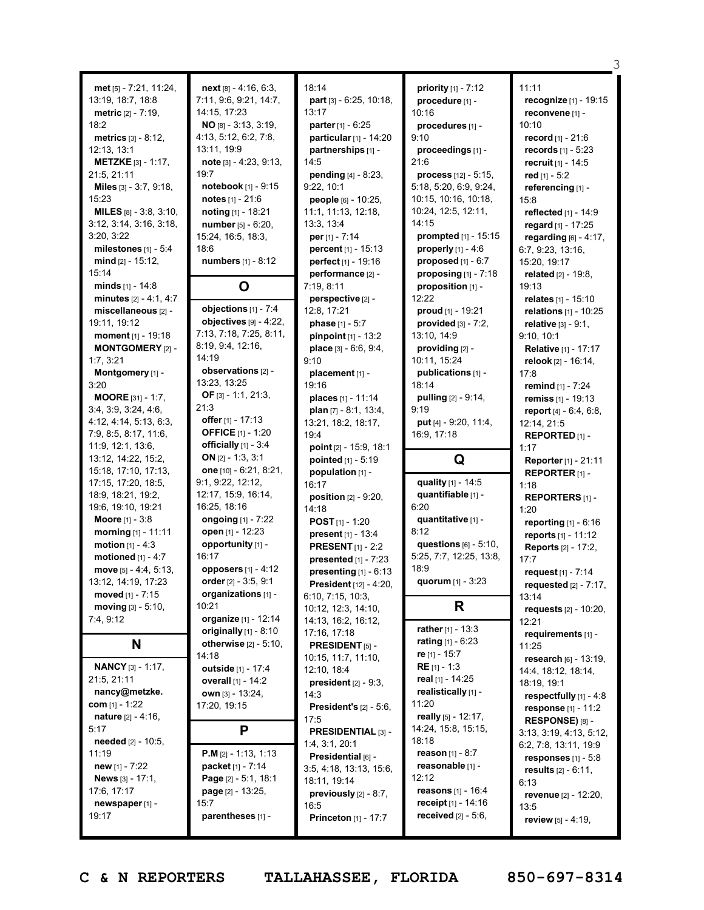|                                             |                                   |                                            |                                                          | З                                              |
|---------------------------------------------|-----------------------------------|--------------------------------------------|----------------------------------------------------------|------------------------------------------------|
|                                             |                                   | 18:14                                      |                                                          | 11:11                                          |
| met [5] - 7:21, 11:24,                      | $next[8] - 4:16, 6:3,$            | part [3] - 6:25, 10:18,                    | priority [1] - 7:12                                      |                                                |
| 13:19, 18:7, 18:8                           | 7:11, 9:6, 9:21, 14:7,            |                                            | procedure [1] -                                          | recognize [1] - 19:15                          |
| <b>metric</b> $[2] - 7:19$ ,                | 14:15, 17:23                      | 13:17                                      | 10:16                                                    | reconvene [1] -                                |
| 18:2                                        | $NO$ <sub>[8]</sub> - 3:13, 3:19, | parter [1] - 6:25                          | procedures [1] -                                         | 10:10                                          |
| <b>metrics</b> $[3] - 8:12$ ,               | 4:13, 5:12, 6:2, 7:8,             | particular [1] - 14:20                     | 9:10                                                     | record [1] - 21:6                              |
| 12:13, 13:1                                 | 13:11, 19:9                       | partnerships [1] -                         | proceedings [1] -                                        | records $[1] - 5:23$                           |
| <b>METZKE</b> $[3] - 1:17$ ,<br>21:5, 21:11 | note [3] - 4:23, 9:13,<br>19:7    | 14:5                                       | 21:6                                                     | recruit [1] - 14:5                             |
|                                             | notebook [1] - 9:15               | pending [4] - 8:23,<br>9:22, 10:1          | <b>process</b> $[12] - 5:15$ ,<br>5:18, 5:20, 6:9, 9:24, | red $[1] - 5:2$                                |
| Miles [3] - 3:7, 9:18,<br>15:23             | notes $[1] - 21:6$                | people [6] - 10:25,                        | 10:15, 10:16, 10:18,                                     | referencing [1] -                              |
| <b>MILES</b> $[8] - 3:8, 3:10,$             | noting $[1] - 18:21$              | 11:1, 11:13, 12:18,                        | 10:24, 12:5, 12:11,                                      | 15:8                                           |
| 3:12, 3:14, 3:16, 3:18,                     | number [5] - 6:20,                | 13:3, 13:4                                 | 14:15                                                    | reflected [1] - 14:9                           |
| 3:20, 3:22                                  | 15:24, 16:5, 18:3,                | per $[1] - 7:14$                           | prompted [1] - 15:15                                     | regard [1] - 17:25                             |
| milestones $[1] - 5:4$                      | 18:6                              | <b>percent</b> $[1] - 15:13$               | <b>properly</b> $[1] - 4:6$                              | regarding $[6] - 4:17$ ,                       |
| mind $[2] - 15:12$ ,                        | numbers [1] - 8:12                | perfect [1] - 19:16                        | proposed $[1] - 6:7$                                     | 6:7, 9:23, 13:16,<br>15:20, 19:17              |
| 15:14                                       |                                   | performance [2] -                          | proposing $[1]$ - 7:18                                   |                                                |
| minds $[1] - 14:8$                          |                                   | 7:19, 8:11                                 |                                                          | <b>related</b> $[2] - 19.8$                    |
| minutes $[2] - 4:1, 4:7$                    | O                                 | perspective [2] -                          | proposition [1] -<br>12:22                               | 19:13<br>relates [1] - 15:10                   |
| miscellaneous [2] -                         | objections $[1]$ - 7:4            | 12:8, 17:21                                |                                                          |                                                |
| 19:11, 19:12                                | objectives [9] - 4:22,            |                                            | <b>proud</b> $[1]$ - 19:21                               | relations [1] - 10:25                          |
| moment [1] - 19:18                          | 7:13, 7:18, 7:25, 8:11,           | phase [1] - 5:7<br>pinpoint [1] - 13:2     | provided $[3] - 7:2$ ,<br>13:10, 14:9                    | relative [3] - 9:1,<br>9:10, 10:1              |
| <b>MONTGOMERY [2] -</b>                     | 8:19, 9:4, 12:16,                 |                                            | providing [2] -                                          | Relative [1] - 17:17                           |
| 1:7,3:21                                    | 14:19                             | place [3] - 6:6, 9:4,<br>9:10              | 10:11, 15:24                                             |                                                |
| Montgomery [1] -                            | observations [2] -                | placement [1] -                            | publications [1] -                                       | relook [2] - 16:14,                            |
| 3:20                                        | 13:23, 13:25                      | 19:16                                      | 18:14                                                    | 17:8                                           |
| <b>MOORE</b> [31] - 1:7,                    | OF $[3] - 1:1, 21:3,$             | places [1] - 11:14                         | <b>pulling</b> $[2] - 9:14$ ,                            | <b>remind</b> [1] - 7:24<br>remiss [1] - 19:13 |
| 3:4, 3:9, 3:24, 4:6,                        | 21:3                              | plan $[7] - 8:1, 13:4,$                    | 9:19                                                     |                                                |
| 4:12, 4:14, 5:13, 6:3,                      | offer [1] - 17:13                 | 13:21, 18:2, 18:17,                        | put [4] - 9:20, 11:4,                                    | report $[4] - 6:4, 6:8,$<br>12:14, 21:5        |
| 7:9, 8:5, 8:17, 11:6,                       | <b>OFFICE</b> [1] - 1:20          | 19:4                                       | 16:9, 17:18                                              | REPORTED <sub>[1]</sub> -                      |
| 11:9, 12:1, 13:6,                           | officially $[1] - 3:4$            | point [2] - 15:9, 18:1                     |                                                          | 1:17                                           |
| 13:12, 14:22, 15:2,                         | ON $[2] - 1:3, 3:1$               | pointed [1] - 5:19                         | Q                                                        | <b>Reporter</b> [1] - 21:11                    |
| 15:18, 17:10, 17:13,                        | one $[10] - 6:21, 8:21,$          | population [1] -                           |                                                          | REPORTER <sub>[1]</sub> -                      |
| 17:15, 17:20, 18:5,                         | 9:1, 9:22, 12:12,                 | 16:17                                      | quality [1] - 14:5                                       | 1:18                                           |
| 18:9, 18:21, 19:2,                          | 12:17, 15:9, 16:14,               | <b>position</b> $[2] - 9:20$ ,             | quantifiable [1] -                                       | <b>REPORTERS</b> [1]-                          |
| 19:6, 19:10, 19:21                          | 16:25, 18:16                      | 14:18                                      | 6:20                                                     | 1:20                                           |
| <b>Moore</b> [1] - 3:8                      | ongoing [1] - 7:22                | <b>POST</b> $[1] - 1:20$                   | quantitative [1] -                                       | reporting $[1] - 6:16$                         |
| morning [1] - 11:11                         | open [1] - 12:23                  | <b>present</b> $[1] - 13:4$                | 8:12                                                     | reports [1] - 11:12                            |
| <b>motion</b> $[1] - 4:3$                   | opportunity [1] -                 | <b>PRESENT</b> [1] - 2:2                   | questions [6] - 5:10,                                    | <b>Reports</b> [2] - 17:2,                     |
| motioned [1] - 4:7                          | 16:17                             | presented [1] - 7:23                       | 5:25, 7:7, 12:25, 13:8,                                  | 17:7                                           |
| move [5] - 4:4, 5:13,                       | opposers [1] - 4:12               | presenting [1] - 6:13                      | 18:9                                                     | request [1] - 7:14                             |
| 13:12, 14:19, 17:23                         | order [2] - 3:5, 9:1              | <b>President</b> [12] - 4:20,              | quorum [1] - 3:23                                        | requested $[2] - 7:17$ ,                       |
| moved [1] - 7:15                            | organizations [1] -               | 6:10, 7:15, 10:3,                          |                                                          | 13:14                                          |
| moving $[3] - 5:10$ ,                       | 10:21                             | 10:12, 12:3, 14:10,                        | R                                                        | requests [2] - 10:20,                          |
| 7:4, 9:12                                   | organize [1] - 12:14              | 14:13, 16:2, 16:12,                        |                                                          | 12:21                                          |
|                                             | originally $[1]$ - 8:10           | 17:16, 17:18                               | rather $[1] - 13:3$                                      | requirements [1] -                             |
| N                                           | <b>otherwise</b> $[2] - 5:10$ ,   | PRESIDENT [5] -                            | <b>rating</b> $[1] - 6:23$                               | 11:25                                          |
|                                             | 14:18                             | 10:15, 11:7, 11:10,                        | <b>re</b> [1] - 15:7                                     | research [6] - 13:19,                          |
| <b>NANCY</b> [3] - 1:17,                    | outside [1] - 17:4                | 12:10, 18:4                                | <b>RE</b> $[1] - 1:3$                                    | 14:4, 18:12, 18:14,                            |
| 21:5, 21:11                                 | overall [1] - 14:2                | president $[2]$ - $9:3$ ,                  | real [1] - 14:25                                         | 18:19, 19:1                                    |
| nancy@metzke.                               | <b>own</b> [3] - 13:24,           | 14:3                                       | realistically [1] -                                      | respectfully [1] - 4:8                         |
| com $[1] - 1:22$                            | 17:20, 19:15                      | <b>President's <math>[2] - 5:6</math>,</b> | 11:20                                                    | response [1] - 11:2                            |
| <b>nature</b> $[2] - 4:16$ ,                |                                   | 17:5                                       | really [5] - 12:17,                                      | RESPONSE) [8] -                                |
| 5:17                                        | P                                 | PRESIDENTIAL [3] -                         | 14:24, 15:8, 15:15,                                      | 3:13, 3:19, 4:13, 5:12,                        |
| needed [2] - 10:5,                          |                                   | 1:4, 3:1, 20:1                             | 18:18                                                    | 6:2, 7:8, 13:11, 19:9                          |
| 11:19                                       | <b>P.M</b> $[2] - 1:13, 1:13$     | Presidential [6] -                         | <b>reason</b> $[1] - 8:7$                                | responses $[1] - 5.8$                          |
| new $[1] - 7:22$                            | packet [1] - 7:14                 | 3:5, 4:18, 13:13, 15:6,                    | reasonable [1] -                                         | results [2] - 6:11,                            |
| News [3] - 17:1,                            | Page [2] - 5:1, 18:1              | 18:11, 19:14                               | 12:12                                                    | 6:13                                           |
| 17:6, 17:17                                 | page [2] - 13:25,                 | previously [2] - 8:7,                      | <b>reasons</b> $[1] - 16:4$                              | revenue [2] - 12:20,                           |
| newspaper [1] -                             | 15:7                              | 16:5                                       | receipt [1] - 14:16                                      | 13:5                                           |
| 19:17                                       | parentheses [1] -                 | <b>Princeton</b> [1] - 17:7                | received $[2] - 5.6$ ,                                   | review $[5] - 4:19$ ,                          |
|                                             |                                   |                                            |                                                          |                                                |